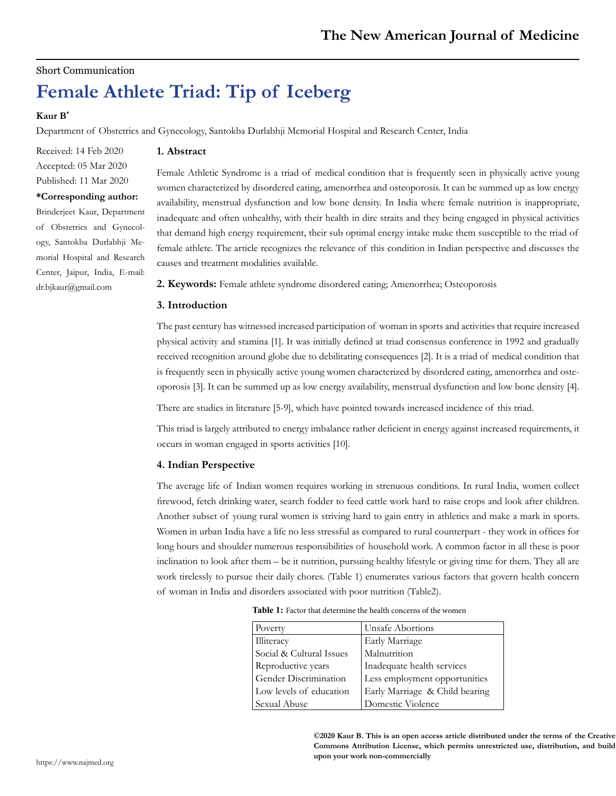# Short Communication

# **Female Athlete Triad: Tip of Iceberg**

# **Kaur B\***

Department of Obstetrics and Gynecology, Santokba Durlabhji Memorial Hospital and Research Center, India

Received: 14 Feb 2020 Accepted: 05 Mar 2020 Published: 11 Mar 2020

#### **\*Corresponding author:**

Brinderjeet Kaur, Department of Obstetrics and Gynecology, Santokba Durlabhji Memorial Hospital and Research Center, Jaipur, India, E-mail: dr.bjkaur@gmail.com

# **1. Abstract**

Female Athletic Syndrome is a triad of medical condition that is frequently seen in physically active young women characterized by disordered eating, amenorrhea and osteoporosis. It can be summed up as low energy availability, menstrual dysfunction and low bone density. In India where female nutrition is inappropriate, inadequate and often unhealthy, with their health in dire straits and they being engaged in physical activities that demand high energy requirement, their sub optimal energy intake make them susceptible to the triad of female athlete. The article recognizes the relevance of this condition in Indian perspective and discusses the causes and treatment modalities available.

**2. Keywords:** Female athlete syndrome disordered eating; Amenorrhea; Osteoporosis

## **3. Introduction**

The past century has witnessed increased participation of woman in sports and activities that require increased physical activity and stamina [1]. It was initially defined at triad consensus conference in 1992 and gradually received recognition around globe due to debilitating consequences [2]. It is a triad of medical condition that is frequently seen in physically active young women characterized by disordered eating, amenorrhea and osteoporosis [3]. It can be summed up as low energy availability, menstrual dysfunction and low bone density [4].

There are studies in literature [5-9], which have pointed towards increased incidence of this triad.

This triad is largely attributed to energy imbalance rather deficient in energy against increased requirements, it occurs in woman engaged in sports activities [10].

## **4. Indian Perspective**

The average life of Indian women requires working in strenuous conditions. In rural India, women collect firewood, fetch drinking water, search fodder to feed cattle work hard to raise crops and look after children. Another subset of young rural women is striving hard to gain entry in athletics and make a mark in sports. Women in urban India have a life no less stressful as compared to rural counterpart - they work in offices for long hours and shoulder numerous responsibilities of household work. A common factor in all these is poor inclination to look after them – be it nutrition, pursuing healthy lifestyle or giving time for them. They all are work tirelessly to pursue their daily chores. (Table 1) enumerates various factors that govern health concern of woman in India and disorders associated with poor nutrition (Table2).

| <b>Table 1:</b> Factor that determine the health concerns of the women |  |
|------------------------------------------------------------------------|--|
|------------------------------------------------------------------------|--|

| Poverty                  | Unsafe Abortions               |
|--------------------------|--------------------------------|
| Illiteracy               | Early Marriage                 |
| Social & Cultural Issues | Malnutrition                   |
| Reproductive years       | Inadequate health services     |
| Gender Discrimination    | Less employment opportunities  |
| Low levels of education  | Early Marriage & Child bearing |
| Sexual Abuse             | Domestic Violence              |

**©2020 Kaur B. This is an open access article distributed under the terms of the Creative Commons Attribution License, which permits unrestricted use, distribution, and build upon your work non-commercially**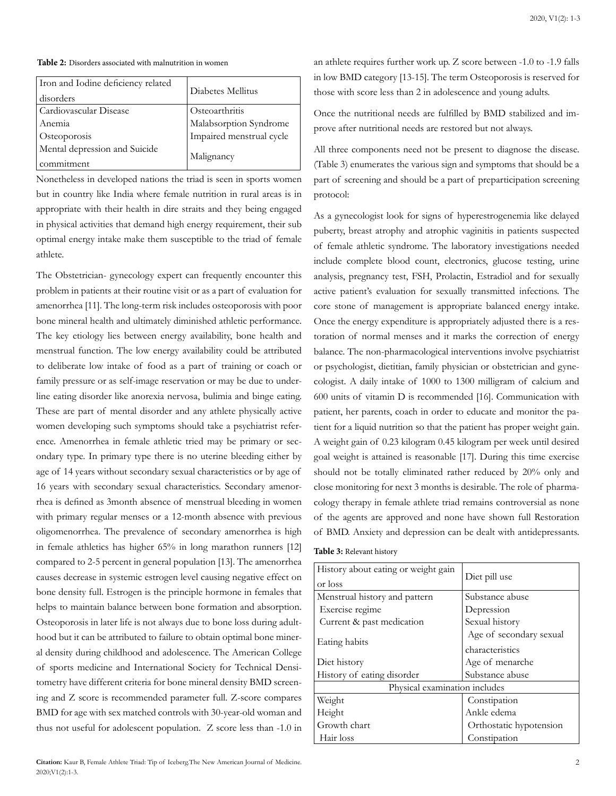#### **Table 2:** Disorders associated with malnutrition in women

| Iron and Iodine deficiency related<br>disorders | Diabetes Mellitus        |
|-------------------------------------------------|--------------------------|
| Cardiovascular Disease                          | Osteoarthritis           |
| Anemia                                          | Malabsorption Syndrome   |
| Osteoporosis                                    | Impaired menstrual cycle |
| Mental depression and Suicide<br>commitment     | Malignancy               |

Nonetheless in developed nations the triad is seen in sports women but in country like India where female nutrition in rural areas is in appropriate with their health in dire straits and they being engaged in physical activities that demand high energy requirement, their sub optimal energy intake make them susceptible to the triad of female athlete.

The Obstetrician- gynecology expert can frequently encounter this problem in patients at their routine visit or as a part of evaluation for amenorrhea [11]. The long-term risk includes osteoporosis with poor bone mineral health and ultimately diminished athletic performance. The key etiology lies between energy availability, bone health and menstrual function. The low energy availability could be attributed to deliberate low intake of food as a part of training or coach or family pressure or as self-image reservation or may be due to underline eating disorder like anorexia nervosa, bulimia and binge eating. These are part of mental disorder and any athlete physically active women developing such symptoms should take a psychiatrist reference. Amenorrhea in female athletic tried may be primary or secondary type. In primary type there is no uterine bleeding either by age of 14 years without secondary sexual characteristics or by age of 16 years with secondary sexual characteristics. Secondary amenorrhea is defined as 3month absence of menstrual bleeding in women with primary regular menses or a 12-month absence with previous oligomenorrhea. The prevalence of secondary amenorrhea is high in female athletics has higher 65% in long marathon runners [12] compared to 2-5 percent in general population [13]. The amenorrhea causes decrease in systemic estrogen level causing negative effect on bone density full. Estrogen is the principle hormone in females that helps to maintain balance between bone formation and absorption. Osteoporosis in later life is not always due to bone loss during adulthood but it can be attributed to failure to obtain optimal bone mineral density during childhood and adolescence. The American College of sports medicine and International Society for Technical Densitometry have different criteria for bone mineral density BMD screening and Z score is recommended parameter full. Z-score compares BMD for age with sex matched controls with 30-year-old woman and thus not useful for adolescent population. Z score less than -1.0 in

**Citation:** Kaur B, Female Athlete Triad: Tip of Iceberg.The New American Journal of Medicine. 2020;V1(2):1-3.

an athlete requires further work up. Z score between -1.0 to -1.9 falls in low BMD category [13-15]. The term Osteoporosis is reserved for those with score less than 2 in adolescence and young adults.

Once the nutritional needs are fulfilled by BMD stabilized and improve after nutritional needs are restored but not always.

All three components need not be present to diagnose the disease. (Table 3) enumerates the various sign and symptoms that should be a part of screening and should be a part of preparticipation screening protocol:

As a gynecologist look for signs of hyperestrogenemia like delayed puberty, breast atrophy and atrophic vaginitis in patients suspected of female athletic syndrome. The laboratory investigations needed include complete blood count, electronics, glucose testing, urine analysis, pregnancy test, FSH, Prolactin, Estradiol and for sexually active patient's evaluation for sexually transmitted infections. The core stone of management is appropriate balanced energy intake. Once the energy expenditure is appropriately adjusted there is a restoration of normal menses and it marks the correction of energy balance. The non-pharmacological interventions involve psychiatrist or psychologist, dietitian, family physician or obstetrician and gynecologist. A daily intake of 1000 to 1300 milligram of calcium and 600 units of vitamin D is recommended [16]. Communication with patient, her parents, coach in order to educate and monitor the patient for a liquid nutrition so that the patient has proper weight gain. A weight gain of 0.23 kilogram 0.45 kilogram per week until desired goal weight is attained is reasonable [17]. During this time exercise should not be totally eliminated rather reduced by 20% only and close monitoring for next 3 months is desirable. The role of pharmacology therapy in female athlete triad remains controversial as none of the agents are approved and none have shown full Restoration of BMD. Anxiety and depression can be dealt with antidepressants.

|  |  | Table 3: Relevant history |  |  |
|--|--|---------------------------|--|--|
|--|--|---------------------------|--|--|

| History about eating or weight gain<br>or loss | Diet pill use           |  |  |
|------------------------------------------------|-------------------------|--|--|
| Menstrual history and pattern                  | Substance abuse         |  |  |
| Exercise regime                                | Depression              |  |  |
| Current & past medication                      | Sexual history          |  |  |
|                                                | Age of secondary sexual |  |  |
| Eating habits                                  | characteristics         |  |  |
| Diet history                                   | Age of menarche         |  |  |
| History of eating disorder                     | Substance abuse         |  |  |
| Physical examination includes                  |                         |  |  |
| Weight                                         | Constipation            |  |  |
| Height                                         | Ankle edema             |  |  |
| Growth chart                                   | Orthostatic hypotension |  |  |
| Hair loss                                      | Constipation            |  |  |